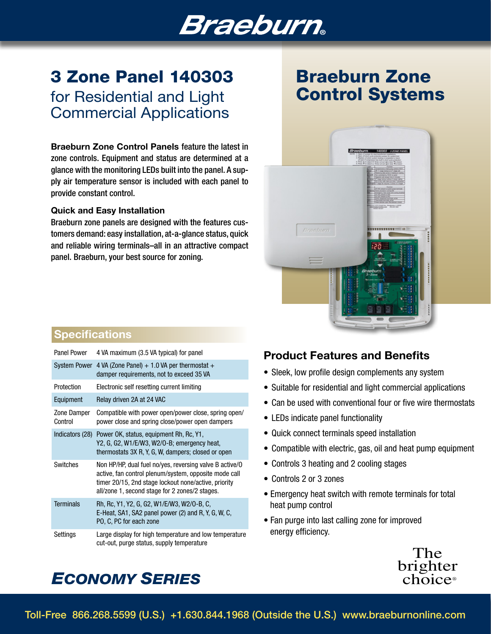## Braeburn

### 3 Zone Panel 140303 for Residential and Light Commercial Applications

Braeburn Zone Control Panels feature the latest in zone controls. Equipment and status are determined at a glance with the monitoring LEDs built into the panel. A supply air temperature sensor is included with each panel to provide constant control.

#### Quick and Easy Installation

Braeburn zone panels are designed with the features customers demand: easy installation, at-a-glance status, quick and reliable wiring terminals–all in an attractive compact panel. Braeburn, your best source for zoning.

## Braeburn Zone Control Systems



### **Specifications**

| Panel Power            | 4 VA maximum (3.5 VA typical) for panel                                                                                                                                                                                    |
|------------------------|----------------------------------------------------------------------------------------------------------------------------------------------------------------------------------------------------------------------------|
|                        | System Power 4 VA (Zone Panel) $+1.0$ VA per thermostat $+$<br>damper requirements, not to exceed 35 VA                                                                                                                    |
| Protection             | Electronic self resetting current limiting                                                                                                                                                                                 |
| Equipment              | Relay driven 2A at 24 VAC                                                                                                                                                                                                  |
| Zone Damper<br>Control | Compatible with power open/power close, spring open/<br>power close and spring close/power open dampers                                                                                                                    |
|                        | Indicators (28) Power OK, status, equipment Rh, Rc, Y1,<br>Y2, G, G2, W1/E/W3, W2/O-B; emergency heat,<br>thermostats 3X R, Y, G, W, dampers; closed or open                                                               |
| <b>Switches</b>        | Non HP/HP, dual fuel no/yes, reversing valve B active/0<br>active, fan control plenum/system, opposite mode call<br>timer 20/15, 2nd stage lockout none/active, priority<br>all/zone 1, second stage for 2 zones/2 stages. |
| <b>Terminals</b>       | Rh, Rc, Y1, Y2, G, G2, W1/E/W3, W2/O-B, C,<br>E-Heat, SA1, SA2 panel power (2) and R, Y, G, W, C,<br>PO, C, PC for each zone                                                                                               |
| Settings               | Large display for high temperature and low temperature<br>cut-out, purge status, supply temperature                                                                                                                        |

### Product Features and Benefits

- Sleek, low profile design complements any system
- Suitable for residential and light commercial applications
- Can be used with conventional four or five wire thermostats
- LEDs indicate panel functionality
- Quick connect terminals speed installation
- Compatible with electric, gas, oil and heat pump equipment
- Controls 3 heating and 2 cooling stages
- Controls 2 or 3 zones
- Emergency heat switch with remote terminals for total heat pump control
- Fan purge into last calling zone for improved energy efficiency.



### *ECONOMY SERIES*